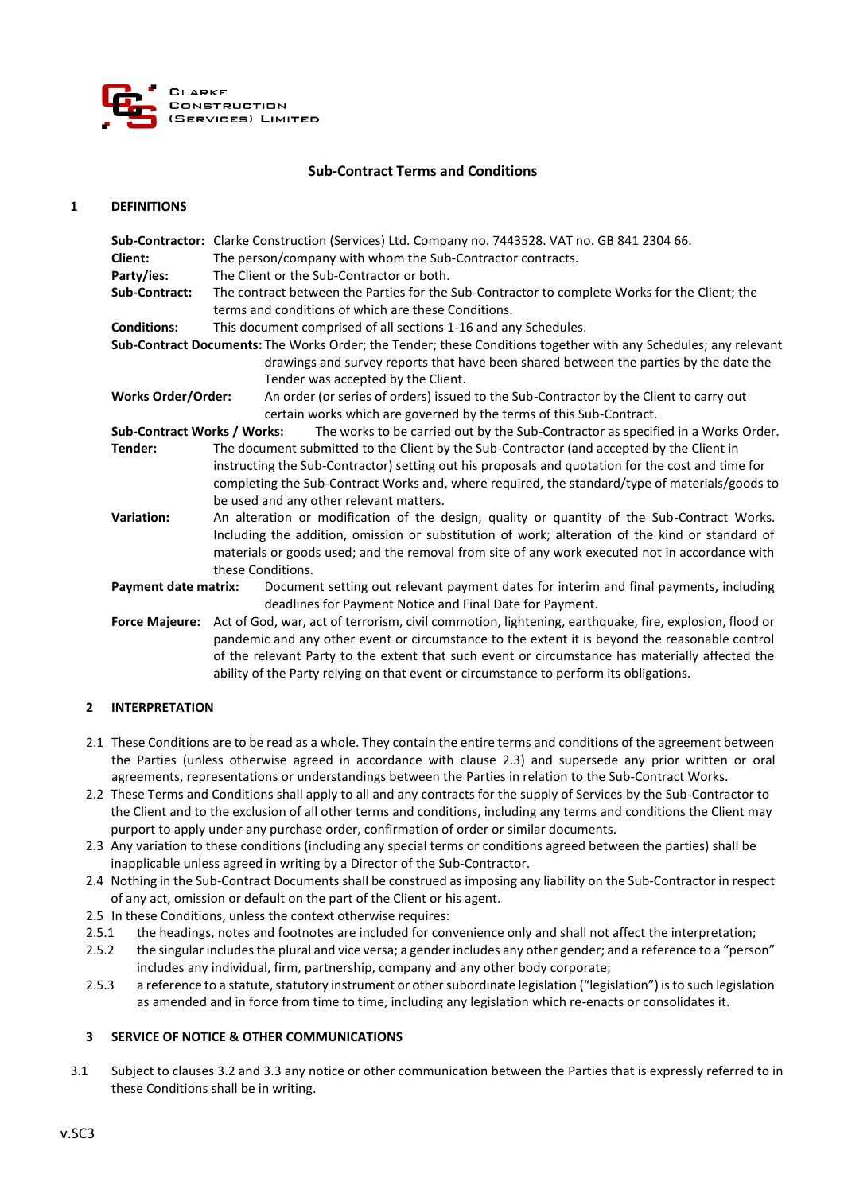

# **Sub-Contract Terms and Conditions**

#### **1 DEFINITIONS**

|                                    | Sub-Contractor: Clarke Construction (Services) Ltd. Company no. 7443528. VAT no. GB 841 2304 66.                                                                                                                                               |
|------------------------------------|------------------------------------------------------------------------------------------------------------------------------------------------------------------------------------------------------------------------------------------------|
| Client:                            | The person/company with whom the Sub-Contractor contracts.                                                                                                                                                                                     |
| Party/ies:                         | The Client or the Sub-Contractor or both.                                                                                                                                                                                                      |
| Sub-Contract:                      | The contract between the Parties for the Sub-Contractor to complete Works for the Client; the                                                                                                                                                  |
|                                    | terms and conditions of which are these Conditions.                                                                                                                                                                                            |
| <b>Conditions:</b>                 | This document comprised of all sections 1-16 and any Schedules.                                                                                                                                                                                |
|                                    | Sub-Contract Documents: The Works Order; the Tender; these Conditions together with any Schedules; any relevant<br>drawings and survey reports that have been shared between the parties by the date the<br>Tender was accepted by the Client. |
| <b>Works Order/Order:</b>          | An order (or series of orders) issued to the Sub-Contractor by the Client to carry out<br>certain works which are governed by the terms of this Sub-Contract.                                                                                  |
| <b>Sub-Contract Works / Works:</b> | The works to be carried out by the Sub-Contractor as specified in a Works Order.                                                                                                                                                               |
| Tender:                            | The document submitted to the Client by the Sub-Contractor (and accepted by the Client in                                                                                                                                                      |
|                                    | instructing the Sub-Contractor) setting out his proposals and quotation for the cost and time for                                                                                                                                              |
|                                    | completing the Sub-Contract Works and, where required, the standard/type of materials/goods to                                                                                                                                                 |
|                                    | be used and any other relevant matters.                                                                                                                                                                                                        |
| <b>Variation:</b>                  | An alteration or modification of the design, quality or quantity of the Sub-Contract Works.                                                                                                                                                    |
|                                    | Including the addition, omission or substitution of work; alteration of the kind or standard of                                                                                                                                                |
|                                    | materials or goods used; and the removal from site of any work executed not in accordance with                                                                                                                                                 |
|                                    | these Conditions.                                                                                                                                                                                                                              |
| <b>Payment date matrix:</b>        | Document setting out relevant payment dates for interim and final payments, including<br>deadlines for Payment Notice and Final Date for Payment.                                                                                              |
| <b>Force Majeure:</b>              | Act of God, war, act of terrorism, civil commotion, lightening, earthquake, fire, explosion, flood or                                                                                                                                          |
|                                    | pandemic and any other event or circumstance to the extent it is beyond the reasonable control                                                                                                                                                 |
|                                    | of the relevant Party to the extent that such event or circumstance has materially affected the                                                                                                                                                |
|                                    | ability of the Party relying on that event or circumstance to perform its obligations.                                                                                                                                                         |

### **2 INTERPRETATION**

- 2.1 These Conditions are to be read as a whole. They contain the entire terms and conditions of the agreement between the Parties (unless otherwise agreed in accordance with clause 2.3) and supersede any prior written or oral agreements, representations or understandings between the Parties in relation to the Sub-Contract Works.
- 2.2 These Terms and Conditions shall apply to all and any contracts for the supply of Services by the Sub-Contractor to the Client and to the exclusion of all other terms and conditions, including any terms and conditions the Client may purport to apply under any purchase order, confirmation of order or similar documents.
- 2.3 Any variation to these conditions (including any special terms or conditions agreed between the parties) shall be inapplicable unless agreed in writing by a Director of the Sub-Contractor.
- 2.4 Nothing in the Sub-Contract Documents shall be construed as imposing any liability on the Sub-Contractor in respect of any act, omission or default on the part of the Client or his agent.
- 2.5 In these Conditions, unless the context otherwise requires:
- 2.5.1 the headings, notes and footnotes are included for convenience only and shall not affect the interpretation;
- 2.5.2 the singular includes the plural and vice versa; a gender includes any other gender; and a reference to a "person" includes any individual, firm, partnership, company and any other body corporate;
- 2.5.3 a reference to a statute, statutory instrument or other subordinate legislation ("legislation") is to such legislation as amended and in force from time to time, including any legislation which re-enacts or consolidates it.

### **3 SERVICE OF NOTICE & OTHER COMMUNICATIONS**

3.1 Subject to clauses 3.2 and 3.3 any notice or other communication between the Parties that is expressly referred to in these Conditions shall be in writing.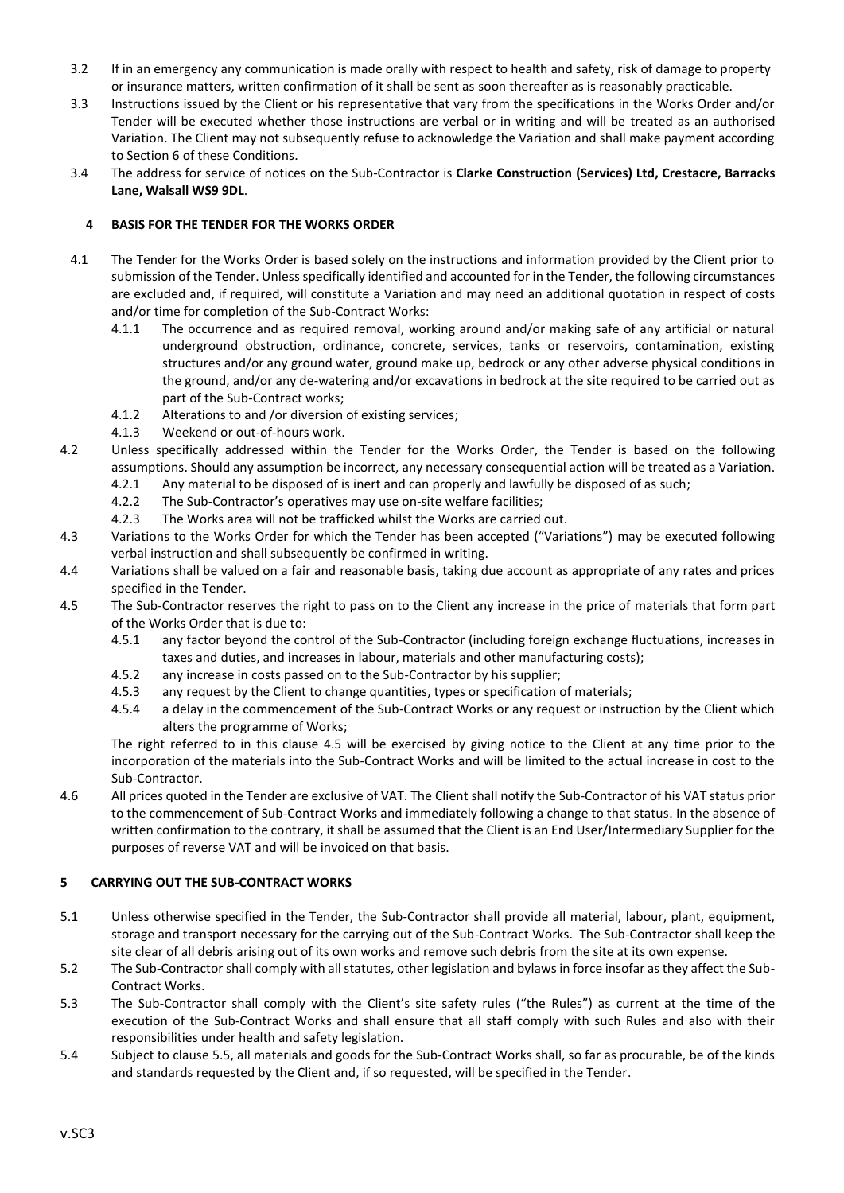- 3.2 If in an emergency any communication is made orally with respect to health and safety, risk of damage to property or insurance matters, written confirmation of it shall be sent as soon thereafter as is reasonably practicable.
- 3.3 Instructions issued by the Client or his representative that vary from the specifications in the Works Order and/or Tender will be executed whether those instructions are verbal or in writing and will be treated as an authorised Variation. The Client may not subsequently refuse to acknowledge the Variation and shall make payment according to Section 6 of these Conditions.
- 3.4 The address for service of notices on the Sub-Contractor is **Clarke Construction (Services) Ltd, Crestacre, Barracks Lane, Walsall WS9 9DL**.

# **4 BASIS FOR THE TENDER FOR THE WORKS ORDER**

- 4.1 The Tender for the Works Order is based solely on the instructions and information provided by the Client prior to submission of the Tender. Unless specifically identified and accounted for in the Tender, the following circumstances are excluded and, if required, will constitute a Variation and may need an additional quotation in respect of costs and/or time for completion of the Sub-Contract Works:
	- 4.1.1 The occurrence and as required removal, working around and/or making safe of any artificial or natural underground obstruction, ordinance, concrete, services, tanks or reservoirs, contamination, existing structures and/or any ground water, ground make up, bedrock or any other adverse physical conditions in the ground, and/or any de-watering and/or excavations in bedrock at the site required to be carried out as part of the Sub-Contract works;
	- 4.1.2 Alterations to and /or diversion of existing services;
	- 4.1.3 Weekend or out-of-hours work.
- 4.2 Unless specifically addressed within the Tender for the Works Order, the Tender is based on the following assumptions. Should any assumption be incorrect, any necessary consequential action will be treated as a Variation.
	- 4.2.1 Any material to be disposed of is inert and can properly and lawfully be disposed of as such;
	- 4.2.2 The Sub-Contractor's operatives may use on-site welfare facilities;
	- 4.2.3 The Works area will not be trafficked whilst the Works are carried out.
- 4.3 Variations to the Works Order for which the Tender has been accepted ("Variations") may be executed following verbal instruction and shall subsequently be confirmed in writing.
- 4.4 Variations shall be valued on a fair and reasonable basis, taking due account as appropriate of any rates and prices specified in the Tender.
- 4.5 The Sub-Contractor reserves the right to pass on to the Client any increase in the price of materials that form part of the Works Order that is due to:
	- 4.5.1 any factor beyond the control of the Sub-Contractor (including foreign exchange fluctuations, increases in taxes and duties, and increases in labour, materials and other manufacturing costs);
	- 4.5.2 any increase in costs passed on to the Sub-Contractor by his supplier;
	- 4.5.3 any request by the Client to change quantities, types or specification of materials;
	- 4.5.4 a delay in the commencement of the Sub-Contract Works or any request or instruction by the Client which alters the programme of Works;

The right referred to in this clause 4.5 will be exercised by giving notice to the Client at any time prior to the incorporation of the materials into the Sub-Contract Works and will be limited to the actual increase in cost to the Sub-Contractor.

4.6 All prices quoted in the Tender are exclusive of VAT. The Client shall notify the Sub-Contractor of his VAT status prior to the commencement of Sub-Contract Works and immediately following a change to that status. In the absence of written confirmation to the contrary, it shall be assumed that the Client is an End User/Intermediary Supplier for the purposes of reverse VAT and will be invoiced on that basis.

# **5 CARRYING OUT THE SUB-CONTRACT WORKS**

- 5.1 Unless otherwise specified in the Tender, the Sub-Contractor shall provide all material, labour, plant, equipment, storage and transport necessary for the carrying out of the Sub-Contract Works. The Sub-Contractor shall keep the site clear of all debris arising out of its own works and remove such debris from the site at its own expense.
- 5.2 The Sub-Contractor shall comply with all statutes, other legislation and bylaws in force insofar as they affect the Sub-Contract Works.
- 5.3 The Sub-Contractor shall comply with the Client's site safety rules ("the Rules") as current at the time of the execution of the Sub-Contract Works and shall ensure that all staff comply with such Rules and also with their responsibilities under health and safety legislation.
- 5.4 Subject to clause 5.5, all materials and goods for the Sub-Contract Works shall, so far as procurable, be of the kinds and standards requested by the Client and, if so requested, will be specified in the Tender.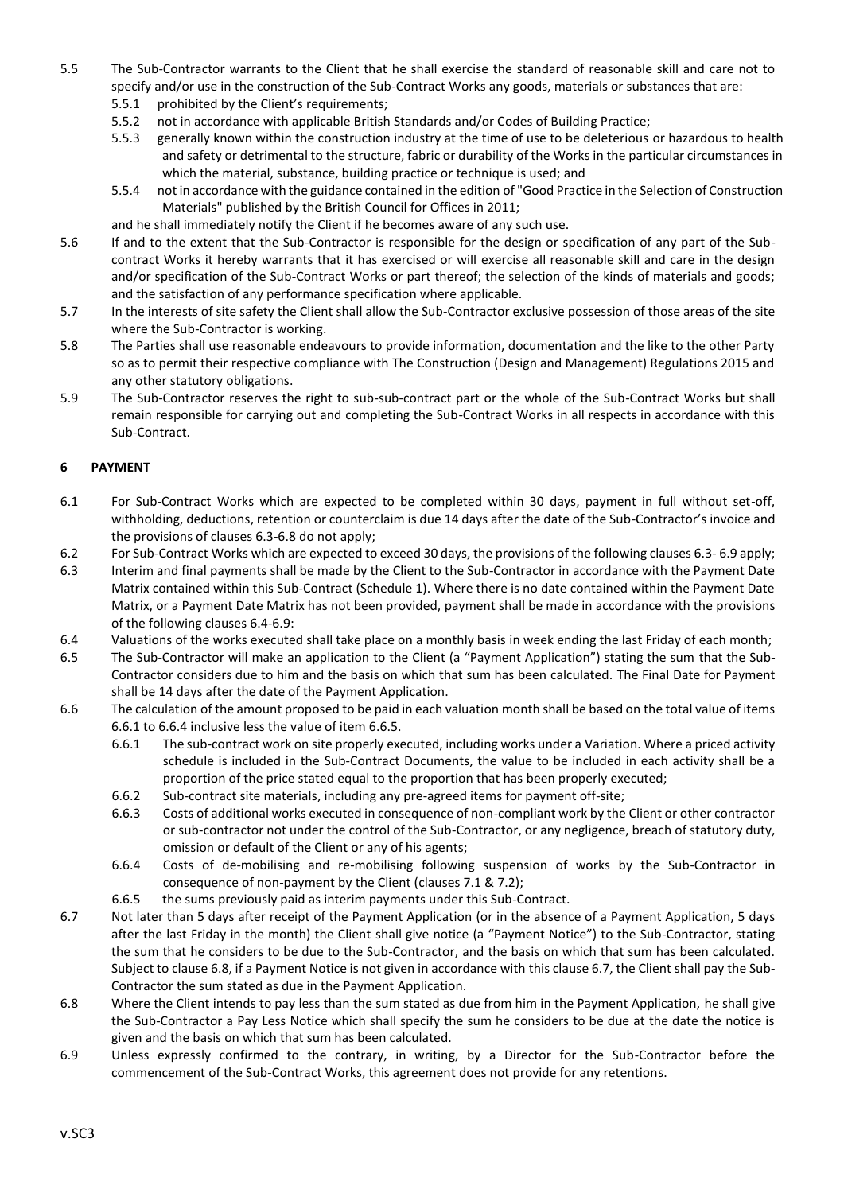- 5.5 The Sub-Contractor warrants to the Client that he shall exercise the standard of reasonable skill and care not to specify and/or use in the construction of the Sub-Contract Works any goods, materials or substances that are:
	- 5.5.1 prohibited by the Client's requirements;
	- 5.5.2 not in accordance with applicable British Standards and/or Codes of Building Practice;
	- 5.5.3 generally known within the construction industry at the time of use to be deleterious or hazardous to health and safety or detrimental to the structure, fabric or durability of the Works in the particular circumstances in which the material, substance, building practice or technique is used; and
	- 5.5.4 not in accordance with the guidance contained in the edition of "Good Practice in the Selection of Construction Materials" published by the British Council for Offices in 2011;
	- and he shall immediately notify the Client if he becomes aware of any such use.
- 5.6 If and to the extent that the Sub-Contractor is responsible for the design or specification of any part of the Subcontract Works it hereby warrants that it has exercised or will exercise all reasonable skill and care in the design and/or specification of the Sub-Contract Works or part thereof; the selection of the kinds of materials and goods; and the satisfaction of any performance specification where applicable.
- 5.7 In the interests of site safety the Client shall allow the Sub-Contractor exclusive possession of those areas of the site where the Sub-Contractor is working.
- 5.8 The Parties shall use reasonable endeavours to provide information, documentation and the like to the other Party so as to permit their respective compliance with The Construction (Design and Management) Regulations 2015 and any other statutory obligations.
- 5.9 The Sub-Contractor reserves the right to sub-sub-contract part or the whole of the Sub-Contract Works but shall remain responsible for carrying out and completing the Sub-Contract Works in all respects in accordance with this Sub-Contract.

# **6 PAYMENT**

- 6.1 For Sub-Contract Works which are expected to be completed within 30 days, payment in full without set-off, withholding, deductions, retention or counterclaim is due 14 days after the date of the Sub-Contractor's invoice and the provisions of clauses 6.3-6.8 do not apply;
- 6.2 For Sub-Contract Works which are expected to exceed 30 days, the provisions of the following clauses 6.3- 6.9 apply;
- 6.3 Interim and final payments shall be made by the Client to the Sub-Contractor in accordance with the Payment Date Matrix contained within this Sub-Contract (Schedule 1). Where there is no date contained within the Payment Date Matrix, or a Payment Date Matrix has not been provided, payment shall be made in accordance with the provisions of the following clauses 6.4-6.9:
- 6.4 Valuations of the works executed shall take place on a monthly basis in week ending the last Friday of each month;
- 6.5 The Sub-Contractor will make an application to the Client (a "Payment Application") stating the sum that the Sub-Contractor considers due to him and the basis on which that sum has been calculated. The Final Date for Payment shall be 14 days after the date of the Payment Application.
- 6.6 The calculation of the amount proposed to be paid in each valuation month shall be based on the total value of items 6.6.1 to 6.6.4 inclusive less the value of item 6.6.5.
	- 6.6.1 The sub-contract work on site properly executed, including works under a Variation. Where a priced activity schedule is included in the Sub-Contract Documents, the value to be included in each activity shall be a proportion of the price stated equal to the proportion that has been properly executed;
	- 6.6.2 Sub-contract site materials, including any pre-agreed items for payment off-site;
	- 6.6.3 Costs of additional works executed in consequence of non-compliant work by the Client or other contractor or sub-contractor not under the control of the Sub-Contractor, or any negligence, breach of statutory duty, omission or default of the Client or any of his agents;
	- 6.6.4 Costs of de-mobilising and re-mobilising following suspension of works by the Sub-Contractor in consequence of non-payment by the Client (clauses 7.1 & 7.2);
	- 6.6.5 the sums previously paid as interim payments under this Sub-Contract.
- 6.7 Not later than 5 days after receipt of the Payment Application (or in the absence of a Payment Application, 5 days after the last Friday in the month) the Client shall give notice (a "Payment Notice") to the Sub-Contractor, stating the sum that he considers to be due to the Sub-Contractor, and the basis on which that sum has been calculated. Subject to clause 6.8, if a Payment Notice is not given in accordance with this clause 6.7, the Client shall pay the Sub-Contractor the sum stated as due in the Payment Application.
- 6.8 Where the Client intends to pay less than the sum stated as due from him in the Payment Application, he shall give the Sub-Contractor a Pay Less Notice which shall specify the sum he considers to be due at the date the notice is given and the basis on which that sum has been calculated.
- 6.9 Unless expressly confirmed to the contrary, in writing, by a Director for the Sub-Contractor before the commencement of the Sub-Contract Works, this agreement does not provide for any retentions.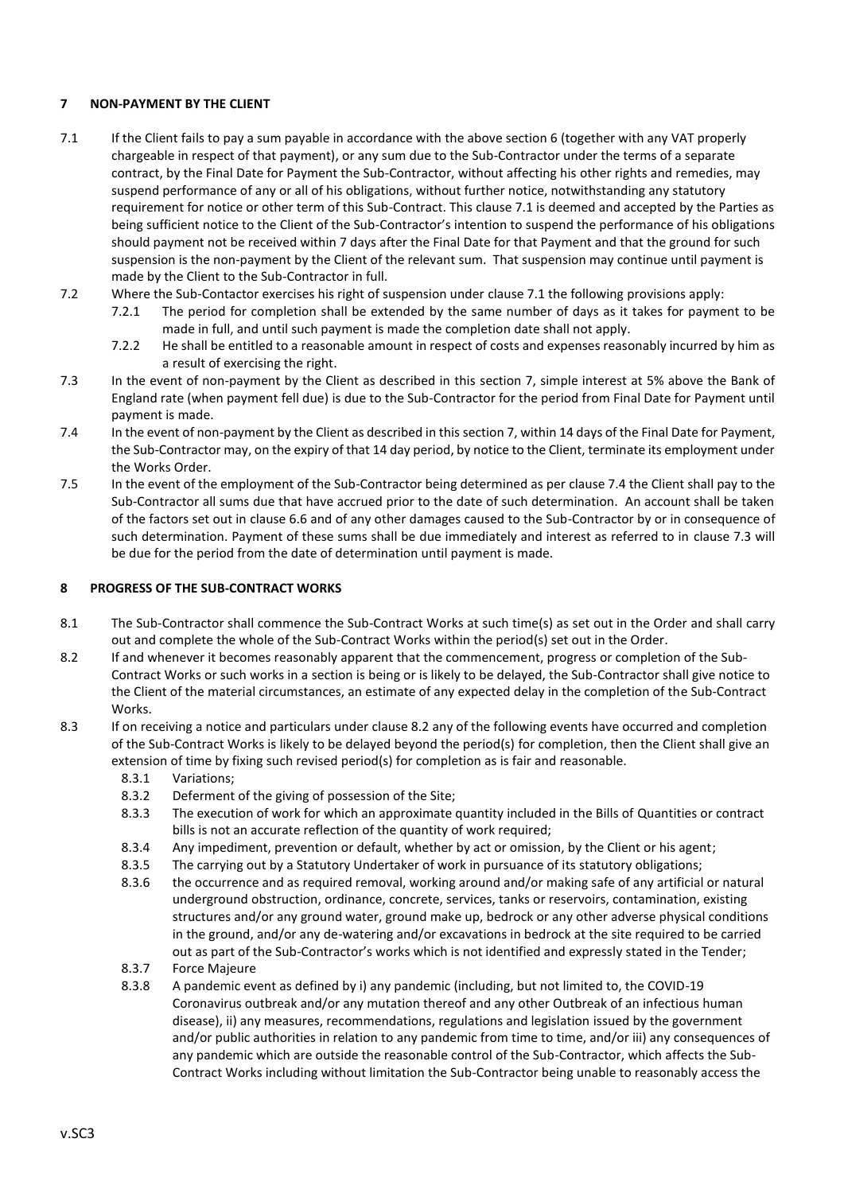# **7 NON-PAYMENT BY THE CLIENT**

- 7.1 If the Client fails to pay a sum payable in accordance with the above section 6 (together with any VAT properly chargeable in respect of that payment), or any sum due to the Sub-Contractor under the terms of a separate contract, by the Final Date for Payment the Sub-Contractor, without affecting his other rights and remedies, may suspend performance of any or all of his obligations, without further notice, notwithstanding any statutory requirement for notice or other term of this Sub-Contract. This clause 7.1 is deemed and accepted by the Parties as being sufficient notice to the Client of the Sub-Contractor's intention to suspend the performance of his obligations should payment not be received within 7 days after the Final Date for that Payment and that the ground for such suspension is the non-payment by the Client of the relevant sum. That suspension may continue until payment is made by the Client to the Sub-Contractor in full.
- 7.2 Where the Sub-Contactor exercises his right of suspension under clause 7.1 the following provisions apply:
	- 7.2.1 The period for completion shall be extended by the same number of days as it takes for payment to be made in full, and until such payment is made the completion date shall not apply.
	- 7.2.2 He shall be entitled to a reasonable amount in respect of costs and expenses reasonably incurred by him as a result of exercising the right.
- 7.3 In the event of non-payment by the Client as described in this section 7, simple interest at 5% above the Bank of England rate (when payment fell due) is due to the Sub-Contractor for the period from Final Date for Payment until payment is made.
- 7.4 In the event of non-payment by the Client as described in this section 7, within 14 days of the Final Date for Payment, the Sub-Contractor may, on the expiry of that 14 day period, by notice to the Client, terminate its employment under the Works Order.
- 7.5 In the event of the employment of the Sub-Contractor being determined as per clause 7.4 the Client shall pay to the Sub-Contractor all sums due that have accrued prior to the date of such determination. An account shall be taken of the factors set out in clause 6.6 and of any other damages caused to the Sub-Contractor by or in consequence of such determination. Payment of these sums shall be due immediately and interest as referred to in clause 7.3 will be due for the period from the date of determination until payment is made.

### **8 PROGRESS OF THE SUB-CONTRACT WORKS**

- 8.1 The Sub-Contractor shall commence the Sub-Contract Works at such time(s) as set out in the Order and shall carry out and complete the whole of the Sub-Contract Works within the period(s) set out in the Order.
- 8.2 If and whenever it becomes reasonably apparent that the commencement, progress or completion of the Sub-Contract Works or such works in a section is being or is likely to be delayed, the Sub-Contractor shall give notice to the Client of the material circumstances, an estimate of any expected delay in the completion of the Sub-Contract Works.
- 8.3 If on receiving a notice and particulars under clause 8.2 any of the following events have occurred and completion of the Sub-Contract Works is likely to be delayed beyond the period(s) for completion, then the Client shall give an extension of time by fixing such revised period(s) for completion as is fair and reasonable.
	- 8.3.1 Variations;
	- 8.3.2 Deferment of the giving of possession of the Site;
	- 8.3.3 The execution of work for which an approximate quantity included in the Bills of Quantities or contract bills is not an accurate reflection of the quantity of work required;
	- 8.3.4 Any impediment, prevention or default, whether by act or omission, by the Client or his agent;
	- 8.3.5 The carrying out by a Statutory Undertaker of work in pursuance of its statutory obligations;
	- 8.3.6 the occurrence and as required removal, working around and/or making safe of any artificial or natural underground obstruction, ordinance, concrete, services, tanks or reservoirs, contamination, existing structures and/or any ground water, ground make up, bedrock or any other adverse physical conditions in the ground, and/or any de-watering and/or excavations in bedrock at the site required to be carried out as part of the Sub-Contractor's works which is not identified and expressly stated in the Tender;
	- 8.3.7 Force Majeure
	- 8.3.8 A pandemic event as defined by i) any pandemic (including, but not limited to, the COVID-19 Coronavirus outbreak and/or any mutation thereof and any other Outbreak of an infectious human disease), ii) any measures, recommendations, regulations and legislation issued by the government and/or public authorities in relation to any pandemic from time to time, and/or iii) any consequences of any pandemic which are outside the reasonable control of the Sub-Contractor, which affects the Sub-Contract Works including without limitation the Sub-Contractor being unable to reasonably access the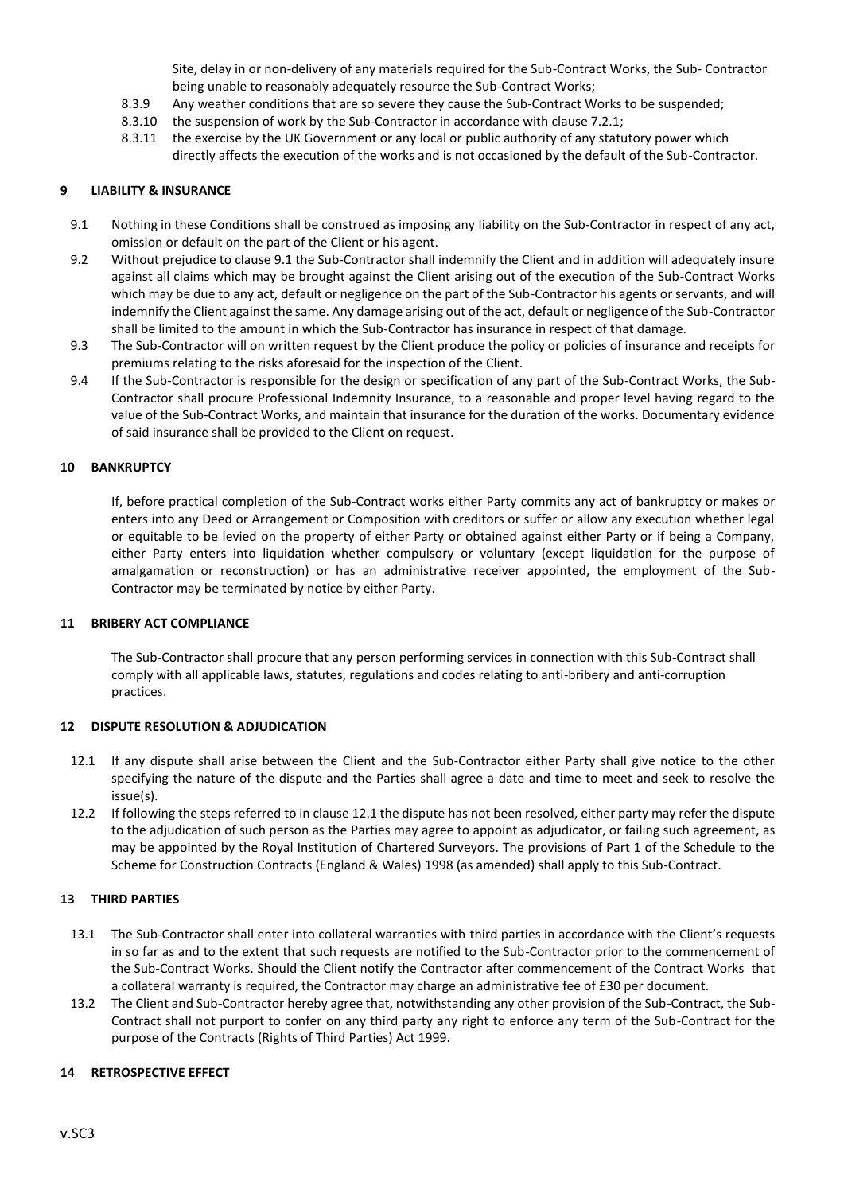Site, delay in or non-delivery of any materials required for the Sub-Contract Works, the Sub- Contractor being unable to reasonably adequately resource the Sub-Contract Works;

- 8.3.9 Any weather conditions that are so severe they cause the Sub-Contract Works to be suspended;
- 8.3.10 the suspension of work by the Sub-Contractor in accordance with clause 7.2.1;
- 8.3.11 the exercise by the UK Government or any local or public authority of any statutory power which directly affects the execution of the works and is not occasioned by the default of the Sub-Contractor.

#### **9 LIABILITY & INSURANCE**

- 9.1 Nothing in these Conditions shall be construed as imposing any liability on the Sub-Contractor in respect of any act, omission or default on the part of the Client or his agent.
- 9.2 Without prejudice to clause 9.1 the Sub-Contractor shall indemnify the Client and in addition will adequately insure against all claims which may be brought against the Client arising out of the execution of the Sub-Contract Works which may be due to any act, default or negligence on the part of the Sub-Contractor his agents or servants, and will indemnify the Client against the same. Any damage arising out of the act, default or negligence of the Sub-Contractor shall be limited to the amount in which the Sub-Contractor has insurance in respect of that damage.
- 9.3 The Sub-Contractor will on written request by the Client produce the policy or policies of insurance and receipts for premiums relating to the risks aforesaid for the inspection of the Client.
- 9.4 If the Sub-Contractor is responsible for the design or specification of any part of the Sub-Contract Works, the Sub-Contractor shall procure Professional Indemnity Insurance, to a reasonable and proper level having regard to the value of the Sub-Contract Works, and maintain that insurance for the duration of the works. Documentary evidence of said insurance shall be provided to the Client on request.

### **10 BANKRUPTCY**

If, before practical completion of the Sub-Contract works either Party commits any act of bankruptcy or makes or enters into any Deed or Arrangement or Composition with creditors or suffer or allow any execution whether legal or equitable to be levied on the property of either Party or obtained against either Party or if being a Company, either Party enters into liquidation whether compulsory or voluntary (except liquidation for the purpose of amalgamation or reconstruction) or has an administrative receiver appointed, the employment of the Sub-Contractor may be terminated by notice by either Party.

#### **11 BRIBERY ACT COMPLIANCE**

The Sub-Contractor shall procure that any person performing services in connection with this Sub-Contract shall comply with all applicable laws, statutes, regulations and codes relating to anti-bribery and anti-corruption practices.

#### **12 DISPUTE RESOLUTION & ADJUDICATION**

- 12.1 If any dispute shall arise between the Client and the Sub-Contractor either Party shall give notice to the other specifying the nature of the dispute and the Parties shall agree a date and time to meet and seek to resolve the issue(s).
- 12.2 If following the steps referred to in clause 12.1 the dispute has not been resolved, either party may refer the dispute to the adjudication of such person as the Parties may agree to appoint as adjudicator, or failing such agreement, as may be appointed by the Royal Institution of Chartered Surveyors. The provisions of Part 1 of the Schedule to the Scheme for Construction Contracts (England & Wales) 1998 (as amended) shall apply to this Sub-Contract.

### **13 THIRD PARTIES**

- 13.1 The Sub-Contractor shall enter into collateral warranties with third parties in accordance with the Client's requests in so far as and to the extent that such requests are notified to the Sub-Contractor prior to the commencement of the Sub-Contract Works. Should the Client notify the Contractor after commencement of the Contract Works that a collateral warranty is required, the Contractor may charge an administrative fee of £30 per document.
- 13.2 The Client and Sub-Contractor hereby agree that, notwithstanding any other provision of the Sub-Contract, the Sub-Contract shall not purport to confer on any third party any right to enforce any term of the Sub-Contract for the purpose of the Contracts (Rights of Third Parties) Act 1999.

### **14 RETROSPECTIVE EFFECT**